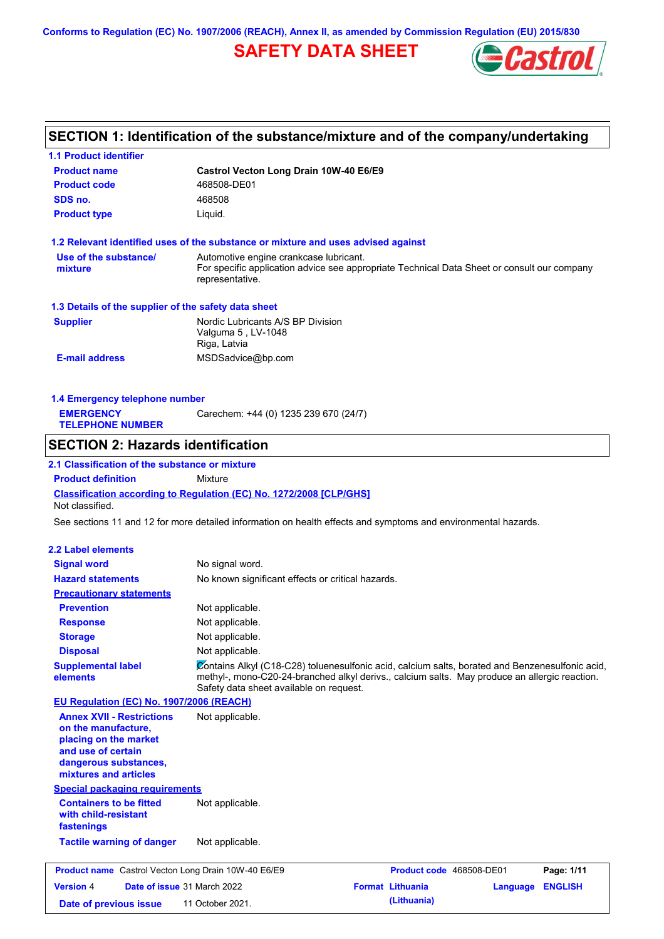**Conforms to Regulation (EC) No. 1907/2006 (REACH), Annex II, as amended by Commission Regulation (EU) 2015/830**

## **SAFETY DATA SHEET**



## **SECTION 1: Identification of the substance/mixture and of the company/undertaking**

| <b>1.1 Product identifier</b>                                                                                                                            |                                                                                                                                                                                                                                             |
|----------------------------------------------------------------------------------------------------------------------------------------------------------|---------------------------------------------------------------------------------------------------------------------------------------------------------------------------------------------------------------------------------------------|
| <b>Product name</b>                                                                                                                                      | Castrol Vecton Long Drain 10W-40 E6/E9                                                                                                                                                                                                      |
| <b>Product code</b>                                                                                                                                      | 468508-DE01                                                                                                                                                                                                                                 |
| SDS no.                                                                                                                                                  | 468508                                                                                                                                                                                                                                      |
| <b>Product type</b>                                                                                                                                      | Liquid.                                                                                                                                                                                                                                     |
|                                                                                                                                                          | 1.2 Relevant identified uses of the substance or mixture and uses advised against                                                                                                                                                           |
| Use of the substance/                                                                                                                                    | Automotive engine crankcase lubricant.                                                                                                                                                                                                      |
| mixture                                                                                                                                                  | For specific application advice see appropriate Technical Data Sheet or consult our company<br>representative.                                                                                                                              |
| 1.3 Details of the supplier of the safety data sheet                                                                                                     |                                                                                                                                                                                                                                             |
| <b>Supplier</b>                                                                                                                                          | Nordic Lubricants A/S BP Division<br>Valguma 5, LV-1048<br>Riga, Latvia                                                                                                                                                                     |
| <b>E-mail address</b>                                                                                                                                    | MSDSadvice@bp.com                                                                                                                                                                                                                           |
| 1.4 Emergency telephone number                                                                                                                           |                                                                                                                                                                                                                                             |
| <b>EMERGENCY</b><br><b>TELEPHONE NUMBER</b>                                                                                                              | Carechem: +44 (0) 1235 239 670 (24/7)                                                                                                                                                                                                       |
| <b>SECTION 2: Hazards identification</b>                                                                                                                 |                                                                                                                                                                                                                                             |
| 2.1 Classification of the substance or mixture                                                                                                           |                                                                                                                                                                                                                                             |
| <b>Product definition</b>                                                                                                                                | Mixture                                                                                                                                                                                                                                     |
| Not classified.                                                                                                                                          | <b>Classification according to Regulation (EC) No. 1272/2008 [CLP/GHS]</b>                                                                                                                                                                  |
|                                                                                                                                                          | See sections 11 and 12 for more detailed information on health effects and symptoms and environmental hazards.                                                                                                                              |
| <b>2.2 Label elements</b>                                                                                                                                |                                                                                                                                                                                                                                             |
| <b>Signal word</b>                                                                                                                                       | No signal word.                                                                                                                                                                                                                             |
| <b>Hazard statements</b>                                                                                                                                 | No known significant effects or critical hazards.                                                                                                                                                                                           |
| <b>Precautionary statements</b>                                                                                                                          |                                                                                                                                                                                                                                             |
| <b>Prevention</b>                                                                                                                                        | Not applicable.                                                                                                                                                                                                                             |
| <b>Response</b>                                                                                                                                          | Not applicable.                                                                                                                                                                                                                             |
| <b>Storage</b>                                                                                                                                           | Not applicable.                                                                                                                                                                                                                             |
| <b>Disposal</b>                                                                                                                                          | Not applicable.                                                                                                                                                                                                                             |
| <b>Supplemental label</b><br>elements                                                                                                                    | Contains Alkyl (C18-C28) toluenesulfonic acid, calcium salts, borated and Benzenesulfonic acid,<br>methyl-, mono-C20-24-branched alkyl derivs., calcium salts. May produce an allergic reaction.<br>Safety data sheet available on request. |
| EU Regulation (EC) No. 1907/2006 (REACH)                                                                                                                 |                                                                                                                                                                                                                                             |
| <b>Annex XVII - Restrictions</b><br>on the manufacture,<br>placing on the market<br>and use of certain<br>dangerous substances,<br>mixtures and articles | Not applicable.                                                                                                                                                                                                                             |
| <b>Special packaging requirements</b>                                                                                                                    |                                                                                                                                                                                                                                             |
| <b>Containers to be fitted</b><br>with child-resistant<br>fastenings                                                                                     | Not applicable.                                                                                                                                                                                                                             |
| <b>Tactile warning of danger</b>                                                                                                                         | Not applicable.                                                                                                                                                                                                                             |
| <b>Product name</b> Castrol Vecton Long Drain 10W-40 E6/E9                                                                                               | Product code 468508-DE01<br>Page: 1/11                                                                                                                                                                                                      |
| <b>Version 4</b>                                                                                                                                         | Date of issue 31 March 2022<br><b>Format Lithuania</b><br><b>ENGLISH</b><br>Language                                                                                                                                                        |
| Date of previous issue                                                                                                                                   | (Lithuania)<br>11 October 2021.                                                                                                                                                                                                             |
|                                                                                                                                                          |                                                                                                                                                                                                                                             |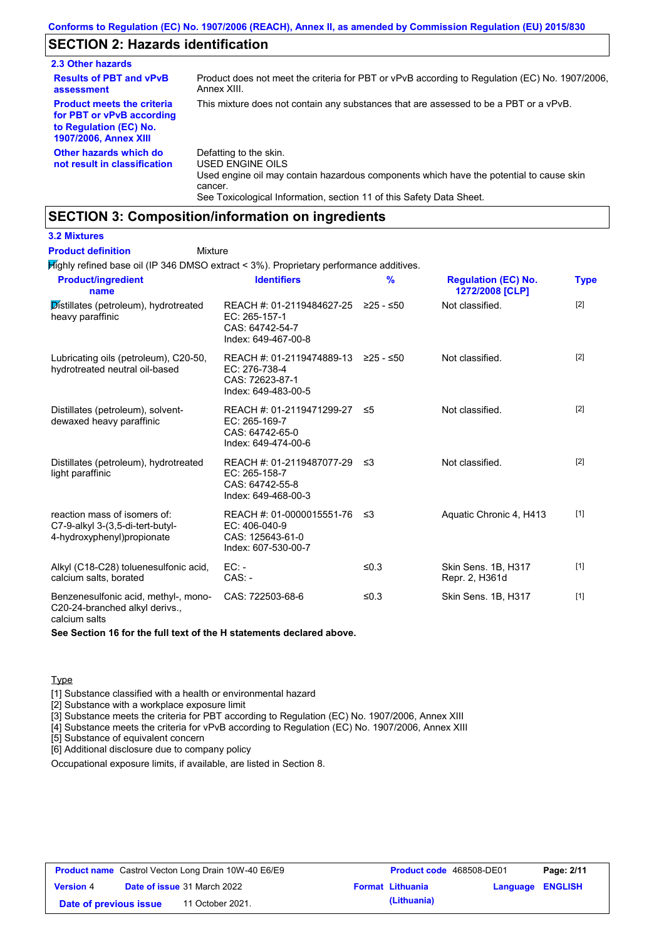## **SECTION 2: Hazards identification**

| 2.3 Other hazards                                                                                                        |                                                                                                                                                  |
|--------------------------------------------------------------------------------------------------------------------------|--------------------------------------------------------------------------------------------------------------------------------------------------|
| <b>Results of PBT and vPvB</b><br>assessment                                                                             | Product does not meet the criteria for PBT or vPvB according to Regulation (EC) No. 1907/2006.<br>Annex XIII.                                    |
| <b>Product meets the criteria</b><br>for PBT or vPvB according<br>to Regulation (EC) No.<br><b>1907/2006, Annex XIII</b> | This mixture does not contain any substances that are assessed to be a PBT or a vPvB.                                                            |
| Other hazards which do<br>not result in classification                                                                   | Defatting to the skin.<br>USED ENGINE OILS<br>Used engine oil may contain hazardous components which have the potential to cause skin<br>cancer. |

See Toxicological Information, section 11 of this Safety Data Sheet.

### **SECTION 3: Composition/information on ingredients**

### **3.2 Mixtures**

#### Mixture **Product definition**

Highly refined base oil (IP 346 DMSO extract < 3%). Proprietary performance additives.

| <b>Product/ingredient</b><br>name                                                              | <b>Identifiers</b>                                                                             | $\frac{9}{6}$ | <b>Regulation (EC) No.</b><br>1272/2008 [CLP] | <b>Type</b> |
|------------------------------------------------------------------------------------------------|------------------------------------------------------------------------------------------------|---------------|-----------------------------------------------|-------------|
| Distillates (petroleum), hydrotreated<br>heavy paraffinic                                      | REACH #: 01-2119484627-25 ≥25 - ≤50<br>EC: 265-157-1<br>CAS: 64742-54-7<br>Index: 649-467-00-8 |               | Not classified.                               | $[2]$       |
| Lubricating oils (petroleum), C20-50,<br>hydrotreated neutral oil-based                        | REACH #: 01-2119474889-13 ≥25 - ≤50<br>EC: 276-738-4<br>CAS: 72623-87-1<br>Index: 649-483-00-5 |               | Not classified.                               | $[2]$       |
| Distillates (petroleum), solvent-<br>dewaxed heavy paraffinic                                  | REACH #: 01-2119471299-27<br>EC: 265-169-7<br>CAS: 64742-65-0<br>Index: 649-474-00-6           | -≤5           | Not classified.                               | $[2]$       |
| Distillates (petroleum), hydrotreated<br>light paraffinic                                      | REACH #: 01-2119487077-29<br>EC: 265-158-7<br>CAS: 64742-55-8<br>Index: 649-468-00-3           | -≤3           | Not classified.                               | $[2]$       |
| reaction mass of isomers of:<br>C7-9-alkyl 3-(3,5-di-tert-butyl-<br>4-hydroxyphenyl)propionate | REACH #: 01-0000015551-76<br>EC: 406-040-9<br>CAS: 125643-61-0<br>Index: 607-530-00-7          | -≤3           | Aquatic Chronic 4, H413                       | $[1]$       |
| Alkyl (C18-C28) toluenesulfonic acid,<br>calcium salts, borated                                | $EC: -$<br>$CAS: -$                                                                            | ≤ $0.3$       | Skin Sens. 1B, H317<br>Repr. 2, H361d         | $[1]$       |
| Benzenesulfonic acid, methyl-, mono-<br>C20-24-branched alkyl derivs.,<br>calcium salts        | CAS: 722503-68-6                                                                               | ≤ $0.3$       | Skin Sens. 1B, H317                           | $[1]$       |

#### **See Section 16 for the full text of the H statements declared above.**

#### **Type**

[1] Substance classified with a health or environmental hazard

[2] Substance with a workplace exposure limit

[3] Substance meets the criteria for PBT according to Regulation (EC) No. 1907/2006, Annex XIII

[4] Substance meets the criteria for vPvB according to Regulation (EC) No. 1907/2006, Annex XIII

[5] Substance of equivalent concern

[6] Additional disclosure due to company policy

Occupational exposure limits, if available, are listed in Section 8.

| <b>Product name</b> Castrol Vecton Long Drain 10W-40 E6/E9 |  | <b>Product code</b> 468508-DE01    |  | Page: 2/11              |                  |  |
|------------------------------------------------------------|--|------------------------------------|--|-------------------------|------------------|--|
| <b>Version 4</b>                                           |  | <b>Date of issue 31 March 2022</b> |  | <b>Format Lithuania</b> | Language ENGLISH |  |
| Date of previous issue                                     |  | 11 October 2021.                   |  | (Lithuania)             |                  |  |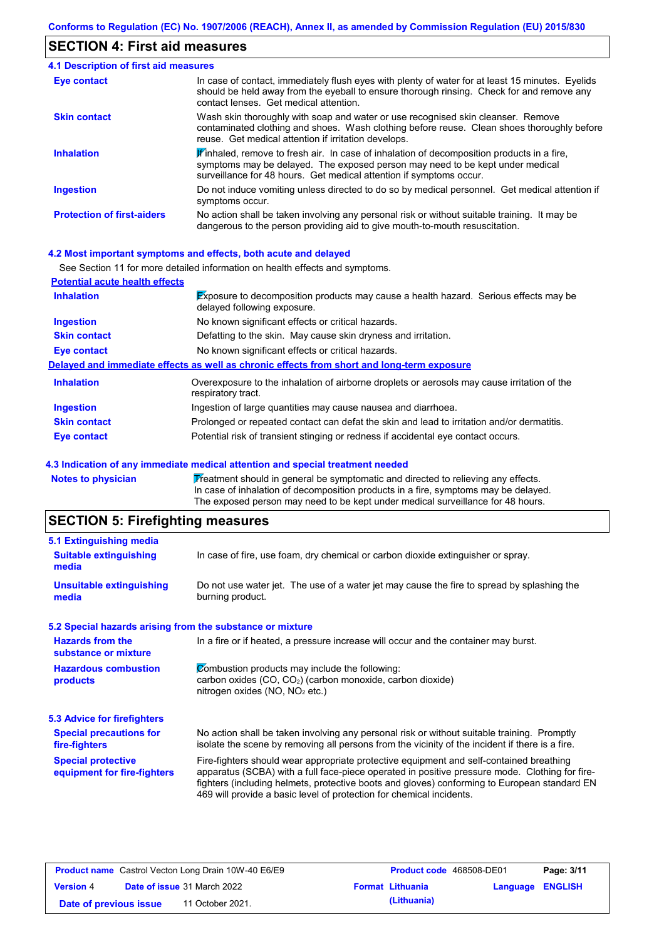### **SECTION 4: First aid measures**

| 4.1 Description of first aid measures |                                                                                                                                                                                                                                                               |
|---------------------------------------|---------------------------------------------------------------------------------------------------------------------------------------------------------------------------------------------------------------------------------------------------------------|
| Eye contact                           | In case of contact, immediately flush eyes with plenty of water for at least 15 minutes. Eyelids<br>should be held away from the eyeball to ensure thorough rinsing. Check for and remove any<br>contact lenses. Get medical attention.                       |
| <b>Skin contact</b>                   | Wash skin thoroughly with soap and water or use recognised skin cleanser. Remove<br>contaminated clothing and shoes. Wash clothing before reuse. Clean shoes thoroughly before<br>reuse. Get medical attention if irritation develops.                        |
| <b>Inhalation</b>                     | $\mathbf{F}$ inhaled, remove to fresh air. In case of inhalation of decomposition products in a fire,<br>symptoms may be delayed. The exposed person may need to be kept under medical<br>surveillance for 48 hours. Get medical attention if symptoms occur. |
| <b>Ingestion</b>                      | Do not induce vomiting unless directed to do so by medical personnel. Get medical attention if<br>symptoms occur.                                                                                                                                             |
| <b>Protection of first-aiders</b>     | No action shall be taken involving any personal risk or without suitable training. It may be<br>dangerous to the person providing aid to give mouth-to-mouth resuscitation.                                                                                   |

#### **4.2 Most important symptoms and effects, both acute and delayed**

|                                       | See Section 11 for more detailed information on health effects and symptoms.                                               |
|---------------------------------------|----------------------------------------------------------------------------------------------------------------------------|
| <b>Potential acute health effects</b> |                                                                                                                            |
| <b>Inhalation</b>                     | <b>Exposure to decomposition products may cause a health hazard.</b> Serious effects may be<br>delayed following exposure. |
| <b>Ingestion</b>                      | No known significant effects or critical hazards.                                                                          |
| <b>Skin contact</b>                   | Defatting to the skin. May cause skin dryness and irritation.                                                              |
| Eye contact                           | No known significant effects or critical hazards.                                                                          |
|                                       | Delayed and immediate effects as well as chronic effects from short and long-term exposure                                 |
| <b>Inhalation</b>                     | Overexposure to the inhalation of airborne droplets or aerosols may cause irritation of the<br>respiratory tract.          |
| <b>Ingestion</b>                      | Ingestion of large quantities may cause nausea and diarrhoea.                                                              |
| <b>Skin contact</b>                   | Prolonged or repeated contact can defat the skin and lead to irritation and/or dermatitis.                                 |
| Eye contact                           | Potential risk of transient stinging or redness if accidental eye contact occurs.                                          |

### **4.3 Indication of any immediate medical attention and special treatment needed**

| Notes to physician | Treatment should in general be symptomatic and directed to relieving any effects.   |
|--------------------|-------------------------------------------------------------------------------------|
|                    | In case of inhalation of decomposition products in a fire, symptoms may be delayed. |
|                    | The exposed person may need to be kept under medical surveillance for 48 hours.     |

## **SECTION 5: Firefighting measures**

| 5.1 Extinguishing media                                   |                                                                                                                                                                                                                                                                                                                                                                   |
|-----------------------------------------------------------|-------------------------------------------------------------------------------------------------------------------------------------------------------------------------------------------------------------------------------------------------------------------------------------------------------------------------------------------------------------------|
| <b>Suitable extinguishing</b><br>media                    | In case of fire, use foam, dry chemical or carbon dioxide extinguisher or spray.                                                                                                                                                                                                                                                                                  |
| <b>Unsuitable extinguishing</b><br>media                  | Do not use water jet. The use of a water jet may cause the fire to spread by splashing the<br>burning product.                                                                                                                                                                                                                                                    |
| 5.2 Special hazards arising from the substance or mixture |                                                                                                                                                                                                                                                                                                                                                                   |
| <b>Hazards from the</b><br>substance or mixture           | In a fire or if heated, a pressure increase will occur and the container may burst.                                                                                                                                                                                                                                                                               |
| <b>Hazardous combustion</b><br>products                   | Combustion products may include the following:<br>carbon oxides (CO, CO <sub>2</sub> ) (carbon monoxide, carbon dioxide)<br>nitrogen oxides (NO, NO <sub>2</sub> etc.)                                                                                                                                                                                            |
| <b>5.3 Advice for firefighters</b>                        |                                                                                                                                                                                                                                                                                                                                                                   |
| <b>Special precautions for</b><br>fire-fighters           | No action shall be taken involving any personal risk or without suitable training. Promptly<br>isolate the scene by removing all persons from the vicinity of the incident if there is a fire.                                                                                                                                                                    |
| <b>Special protective</b><br>equipment for fire-fighters  | Fire-fighters should wear appropriate protective equipment and self-contained breathing<br>apparatus (SCBA) with a full face-piece operated in positive pressure mode. Clothing for fire-<br>fighters (including helmets, protective boots and gloves) conforming to European standard EN<br>469 will provide a basic level of protection for chemical incidents. |

| <b>Product name</b> Castrol Vecton Long Drain 10W-40 E6/E9 |  | <b>Product code</b> 468508-DE01    |  | Page: 3/11              |                         |  |
|------------------------------------------------------------|--|------------------------------------|--|-------------------------|-------------------------|--|
| <b>Version 4</b>                                           |  | <b>Date of issue 31 March 2022</b> |  | <b>Format Lithuania</b> | <b>Language ENGLISH</b> |  |
| Date of previous issue                                     |  | 11 October 2021.                   |  | (Lithuania)             |                         |  |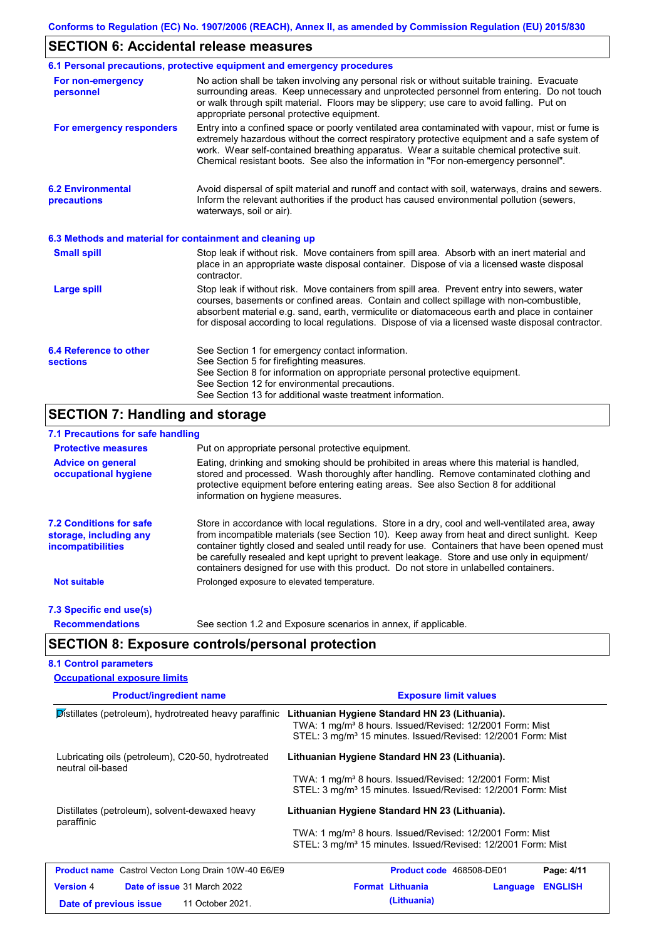## **SECTION 6: Accidental release measures**

| No action shall be taken involving any personal risk or without suitable training. Evacuate<br>surrounding areas. Keep unnecessary and unprotected personnel from entering. Do not touch<br>or walk through spilt material. Floors may be slippery; use care to avoid falling. Put on<br>appropriate personal protective equipment.<br>Entry into a confined space or poorly ventilated area contaminated with vapour, mist or fume is<br>extremely hazardous without the correct respiratory protective equipment and a safe system of<br>work. Wear self-contained breathing apparatus. Wear a suitable chemical protective suit.<br>Chemical resistant boots. See also the information in "For non-emergency personnel".<br>Avoid dispersal of spilt material and runoff and contact with soil, waterways, drains and sewers.<br>Inform the relevant authorities if the product has caused environmental pollution (sewers,<br>waterways, soil or air). |
|------------------------------------------------------------------------------------------------------------------------------------------------------------------------------------------------------------------------------------------------------------------------------------------------------------------------------------------------------------------------------------------------------------------------------------------------------------------------------------------------------------------------------------------------------------------------------------------------------------------------------------------------------------------------------------------------------------------------------------------------------------------------------------------------------------------------------------------------------------------------------------------------------------------------------------------------------------|
|                                                                                                                                                                                                                                                                                                                                                                                                                                                                                                                                                                                                                                                                                                                                                                                                                                                                                                                                                            |
|                                                                                                                                                                                                                                                                                                                                                                                                                                                                                                                                                                                                                                                                                                                                                                                                                                                                                                                                                            |
|                                                                                                                                                                                                                                                                                                                                                                                                                                                                                                                                                                                                                                                                                                                                                                                                                                                                                                                                                            |
| 6.3 Methods and material for containment and cleaning up                                                                                                                                                                                                                                                                                                                                                                                                                                                                                                                                                                                                                                                                                                                                                                                                                                                                                                   |
| Stop leak if without risk. Move containers from spill area. Absorb with an inert material and<br>place in an appropriate waste disposal container. Dispose of via a licensed waste disposal                                                                                                                                                                                                                                                                                                                                                                                                                                                                                                                                                                                                                                                                                                                                                                |
| Stop leak if without risk. Move containers from spill area. Prevent entry into sewers, water<br>courses, basements or confined areas. Contain and collect spillage with non-combustible,<br>absorbent material e.g. sand, earth, vermiculite or diatomaceous earth and place in container<br>for disposal according to local regulations. Dispose of via a licensed waste disposal contractor.                                                                                                                                                                                                                                                                                                                                                                                                                                                                                                                                                             |
| See Section 1 for emergency contact information.<br>See Section 5 for firefighting measures.<br>See Section 8 for information on appropriate personal protective equipment.<br>See Section 12 for environmental precautions.                                                                                                                                                                                                                                                                                                                                                                                                                                                                                                                                                                                                                                                                                                                               |
|                                                                                                                                                                                                                                                                                                                                                                                                                                                                                                                                                                                                                                                                                                                                                                                                                                                                                                                                                            |

#### **7.1 Precautions for safe handling**

 $\mathsf{l}$ 

| 7.1 1 TUUUUTUUTU TUT JUTU TIUTTUTTI                                                  |                                                                                                                                                                                                                                                                                                                                                                                                                                                                                          |
|--------------------------------------------------------------------------------------|------------------------------------------------------------------------------------------------------------------------------------------------------------------------------------------------------------------------------------------------------------------------------------------------------------------------------------------------------------------------------------------------------------------------------------------------------------------------------------------|
| <b>Protective measures</b>                                                           | Put on appropriate personal protective equipment.                                                                                                                                                                                                                                                                                                                                                                                                                                        |
| <b>Advice on general</b><br>occupational hygiene                                     | Eating, drinking and smoking should be prohibited in areas where this material is handled,<br>stored and processed. Wash thoroughly after handling. Remove contaminated clothing and<br>protective equipment before entering eating areas. See also Section 8 for additional<br>information on hygiene measures.                                                                                                                                                                         |
| <b>7.2 Conditions for safe</b><br>storage, including any<br><i>incompatibilities</i> | Store in accordance with local requlations. Store in a dry, cool and well-ventilated area, away<br>from incompatible materials (see Section 10). Keep away from heat and direct sunlight. Keep<br>container tightly closed and sealed until ready for use. Containers that have been opened must<br>be carefully resealed and kept upright to prevent leakage. Store and use only in equipment/<br>containers designed for use with this product. Do not store in unlabelled containers. |
| <b>Not suitable</b>                                                                  | Prolonged exposure to elevated temperature.                                                                                                                                                                                                                                                                                                                                                                                                                                              |
| 7.3 Specific end use(s)                                                              |                                                                                                                                                                                                                                                                                                                                                                                                                                                                                          |
| <b>Recommendations</b>                                                               | See section 1.2 and Exposure scenarios in annex, if applicable.                                                                                                                                                                                                                                                                                                                                                                                                                          |

## **SECTION 8: Exposure controls/personal protection**

### **8.1 Control parameters**

| <b>Occupational exposure limits</b>                                     |                                                                                                                                                                                                    |
|-------------------------------------------------------------------------|----------------------------------------------------------------------------------------------------------------------------------------------------------------------------------------------------|
| <b>Product/ingredient name</b>                                          | <b>Exposure limit values</b>                                                                                                                                                                       |
| Distillates (petroleum), hydrotreated heavy paraffinic                  | Lithuanian Hygiene Standard HN 23 (Lithuania).<br>TWA: 1 mg/m <sup>3</sup> 8 hours. Issued/Revised: 12/2001 Form: Mist<br>STEL: 3 mg/m <sup>3</sup> 15 minutes. Issued/Revised: 12/2001 Form: Mist |
| Lubricating oils (petroleum), C20-50, hydrotreated<br>neutral oil-based | Lithuanian Hygiene Standard HN 23 (Lithuania).                                                                                                                                                     |
|                                                                         | TWA: 1 mg/m <sup>3</sup> 8 hours. Issued/Revised: 12/2001 Form: Mist<br>STEL: 3 mg/m <sup>3</sup> 15 minutes. Issued/Revised: 12/2001 Form: Mist                                                   |
| Distillates (petroleum), solvent-dewaxed heavy<br>paraffinic            | Lithuanian Hygiene Standard HN 23 (Lithuania).                                                                                                                                                     |
|                                                                         | TWA: 1 mg/m <sup>3</sup> 8 hours. Issued/Revised: 12/2001 Form: Mist<br>STEL: 3 mg/m <sup>3</sup> 15 minutes. Issued/Revised: 12/2001 Form: Mist                                                   |
| <b>Product name</b> Castrol Vecton Long Drain 10W-40 E6/E9              | <b>Product code</b> 468508-DE01<br>Page: 4/11                                                                                                                                                      |
| Date of issue 31 March 2022<br><b>Version 4</b>                         | <b>Format Lithuania</b><br><b>ENGLISH</b><br>Language                                                                                                                                              |
| 11 October 2021.<br>Date of previous issue                              | (Lithuania)                                                                                                                                                                                        |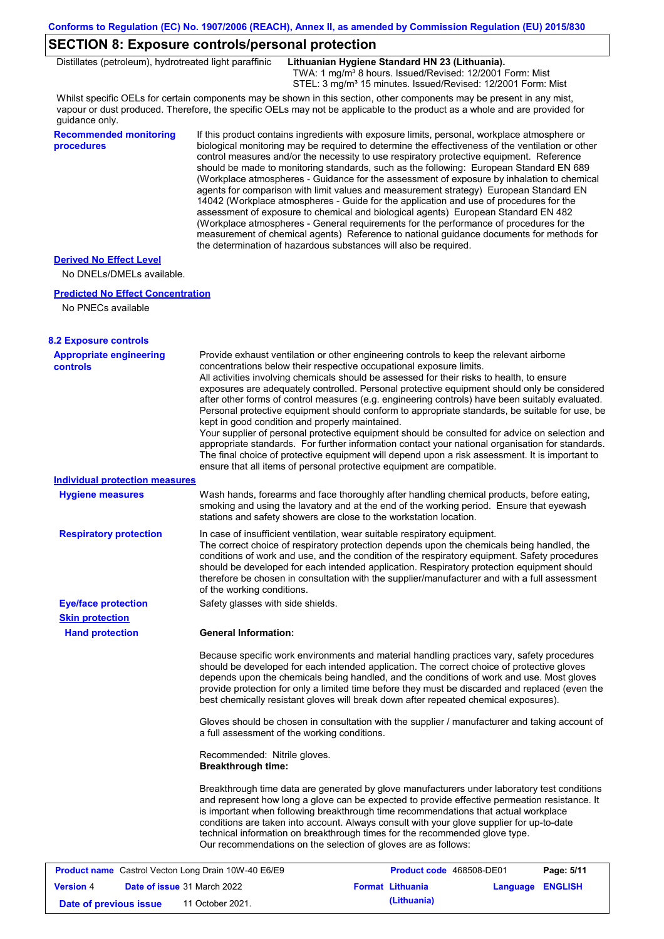### **SECTION 8: Exposure controls/personal protection**

Distillates (petroleum), hydrotreated light paraffinic **Lithuanian Hygiene Standard HN 23 (Lithuania).**

TWA: 1 mg/m<sup>3</sup> 8 hours. Issued/Revised: 12/2001 Form: Mist STEL: 3 mg/m<sup>3</sup> 15 minutes. Issued/Revised: 12/2001 Form: Mist

Whilst specific OELs for certain components may be shown in this section, other components may be present in any mist, vapour or dust produced. Therefore, the specific OELs may not be applicable to the product as a whole and are provided for guidance only.

### **Recommended monitoring procedures**

If this product contains ingredients with exposure limits, personal, workplace atmosphere or biological monitoring may be required to determine the effectiveness of the ventilation or other control measures and/or the necessity to use respiratory protective equipment. Reference should be made to monitoring standards, such as the following: European Standard EN 689 (Workplace atmospheres - Guidance for the assessment of exposure by inhalation to chemical agents for comparison with limit values and measurement strategy) European Standard EN 14042 (Workplace atmospheres - Guide for the application and use of procedures for the assessment of exposure to chemical and biological agents) European Standard EN 482 (Workplace atmospheres - General requirements for the performance of procedures for the measurement of chemical agents) Reference to national guidance documents for methods for the determination of hazardous substances will also be required.

#### **Derived No Effect Level**

No DNELs/DMELs available.

#### **Predicted No Effect Concentration**

No PNECs available

| <b>8.2 Exposure controls</b>                               |                                                           |                                                                                                                                                                                                                                                                                                                                                                                                                                                                                                                                                                                                                                                                                                                                                |                                                                                                                                                                                                    |
|------------------------------------------------------------|-----------------------------------------------------------|------------------------------------------------------------------------------------------------------------------------------------------------------------------------------------------------------------------------------------------------------------------------------------------------------------------------------------------------------------------------------------------------------------------------------------------------------------------------------------------------------------------------------------------------------------------------------------------------------------------------------------------------------------------------------------------------------------------------------------------------|----------------------------------------------------------------------------------------------------------------------------------------------------------------------------------------------------|
| <b>Appropriate engineering</b><br>controls                 | kept in good condition and properly maintained.           | Provide exhaust ventilation or other engineering controls to keep the relevant airborne<br>concentrations below their respective occupational exposure limits.<br>All activities involving chemicals should be assessed for their risks to health, to ensure<br>exposures are adequately controlled. Personal protective equipment should only be considered<br>after other forms of control measures (e.g. engineering controls) have been suitably evaluated.<br>Your supplier of personal protective equipment should be consulted for advice on selection and<br>The final choice of protective equipment will depend upon a risk assessment. It is important to<br>ensure that all items of personal protective equipment are compatible. | Personal protective equipment should conform to appropriate standards, be suitable for use, be<br>appropriate standards. For further information contact your national organisation for standards. |
| Individual protection measures                             |                                                           |                                                                                                                                                                                                                                                                                                                                                                                                                                                                                                                                                                                                                                                                                                                                                |                                                                                                                                                                                                    |
| <b>Hygiene measures</b>                                    |                                                           | Wash hands, forearms and face thoroughly after handling chemical products, before eating,<br>smoking and using the lavatory and at the end of the working period. Ensure that eyewash<br>stations and safety showers are close to the workstation location.                                                                                                                                                                                                                                                                                                                                                                                                                                                                                    |                                                                                                                                                                                                    |
| <b>Respiratory protection</b>                              | of the working conditions.                                | In case of insufficient ventilation, wear suitable respiratory equipment.<br>The correct choice of respiratory protection depends upon the chemicals being handled, the<br>conditions of work and use, and the condition of the respiratory equipment. Safety procedures<br>should be developed for each intended application. Respiratory protection equipment should<br>therefore be chosen in consultation with the supplier/manufacturer and with a full assessment                                                                                                                                                                                                                                                                        |                                                                                                                                                                                                    |
| <b>Eye/face protection</b>                                 | Safety glasses with side shields.                         |                                                                                                                                                                                                                                                                                                                                                                                                                                                                                                                                                                                                                                                                                                                                                |                                                                                                                                                                                                    |
| <b>Skin protection</b>                                     |                                                           |                                                                                                                                                                                                                                                                                                                                                                                                                                                                                                                                                                                                                                                                                                                                                |                                                                                                                                                                                                    |
| <b>Hand protection</b>                                     | <b>General Information:</b>                               |                                                                                                                                                                                                                                                                                                                                                                                                                                                                                                                                                                                                                                                                                                                                                |                                                                                                                                                                                                    |
|                                                            |                                                           | Because specific work environments and material handling practices vary, safety procedures<br>should be developed for each intended application. The correct choice of protective gloves<br>depends upon the chemicals being handled, and the conditions of work and use. Most gloves<br>provide protection for only a limited time before they must be discarded and replaced (even the<br>best chemically resistant gloves will break down after repeated chemical exposures).                                                                                                                                                                                                                                                               |                                                                                                                                                                                                    |
|                                                            | a full assessment of the working conditions.              | Gloves should be chosen in consultation with the supplier / manufacturer and taking account of                                                                                                                                                                                                                                                                                                                                                                                                                                                                                                                                                                                                                                                 |                                                                                                                                                                                                    |
|                                                            | Recommended: Nitrile gloves.<br><b>Breakthrough time:</b> |                                                                                                                                                                                                                                                                                                                                                                                                                                                                                                                                                                                                                                                                                                                                                |                                                                                                                                                                                                    |
|                                                            |                                                           | Breakthrough time data are generated by glove manufacturers under laboratory test conditions<br>and represent how long a glove can be expected to provide effective permeation resistance. It<br>is important when following breakthrough time recommendations that actual workplace<br>conditions are taken into account. Always consult with your glove supplier for up-to-date<br>technical information on breakthrough times for the recommended glove type.<br>Our recommendations on the selection of gloves are as follows:                                                                                                                                                                                                             |                                                                                                                                                                                                    |
| <b>Product name</b> Castrol Vecton Long Drain 10W-40 E6/E9 |                                                           | Product code 468508-DE01                                                                                                                                                                                                                                                                                                                                                                                                                                                                                                                                                                                                                                                                                                                       | Page: 5/11                                                                                                                                                                                         |
| <b>Version 4</b>                                           | <b>Date of issue 31 March 2022</b>                        | <b>Format Lithuania</b>                                                                                                                                                                                                                                                                                                                                                                                                                                                                                                                                                                                                                                                                                                                        | Language ENGLISH                                                                                                                                                                                   |

**Date of previous issue (Lithuania)** 11 October 2021.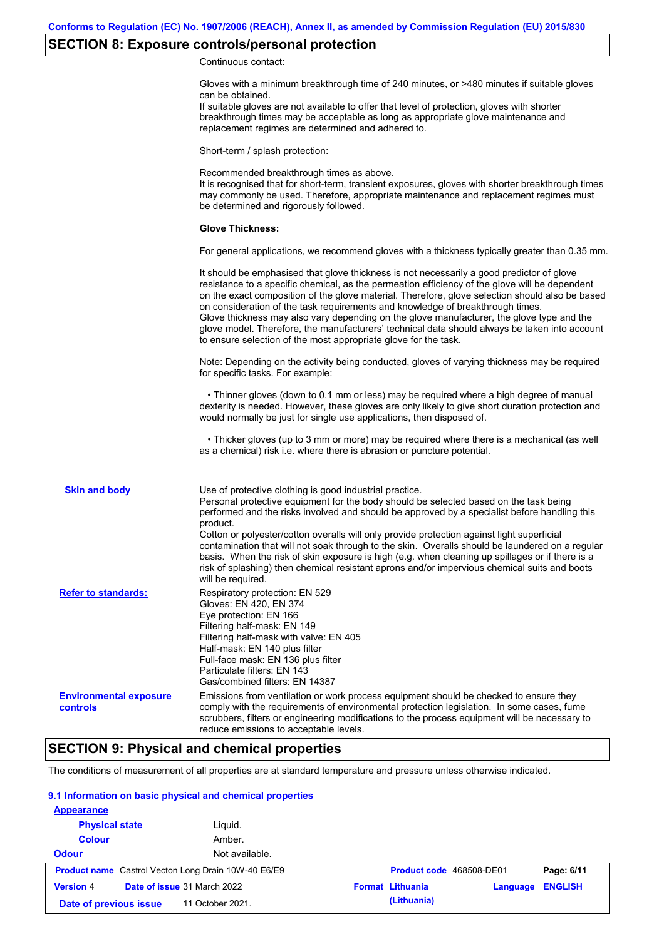## **SECTION 8: Exposure controls/personal protection**

Continuous contact:

|                                           | Gloves with a minimum breakthrough time of 240 minutes, or >480 minutes if suitable gloves<br>can be obtained.<br>If suitable gloves are not available to offer that level of protection, gloves with shorter<br>breakthrough times may be acceptable as long as appropriate glove maintenance and<br>replacement regimes are determined and adhered to.                                                                                                                                                                                                                                                                                                         |
|-------------------------------------------|------------------------------------------------------------------------------------------------------------------------------------------------------------------------------------------------------------------------------------------------------------------------------------------------------------------------------------------------------------------------------------------------------------------------------------------------------------------------------------------------------------------------------------------------------------------------------------------------------------------------------------------------------------------|
|                                           | Short-term / splash protection:                                                                                                                                                                                                                                                                                                                                                                                                                                                                                                                                                                                                                                  |
|                                           | Recommended breakthrough times as above.<br>It is recognised that for short-term, transient exposures, gloves with shorter breakthrough times<br>may commonly be used. Therefore, appropriate maintenance and replacement regimes must<br>be determined and rigorously followed.                                                                                                                                                                                                                                                                                                                                                                                 |
|                                           | <b>Glove Thickness:</b>                                                                                                                                                                                                                                                                                                                                                                                                                                                                                                                                                                                                                                          |
|                                           | For general applications, we recommend gloves with a thickness typically greater than 0.35 mm.                                                                                                                                                                                                                                                                                                                                                                                                                                                                                                                                                                   |
|                                           | It should be emphasised that glove thickness is not necessarily a good predictor of glove<br>resistance to a specific chemical, as the permeation efficiency of the glove will be dependent<br>on the exact composition of the glove material. Therefore, glove selection should also be based<br>on consideration of the task requirements and knowledge of breakthrough times.<br>Glove thickness may also vary depending on the glove manufacturer, the glove type and the<br>glove model. Therefore, the manufacturers' technical data should always be taken into account<br>to ensure selection of the most appropriate glove for the task.                |
|                                           | Note: Depending on the activity being conducted, gloves of varying thickness may be required<br>for specific tasks. For example:                                                                                                                                                                                                                                                                                                                                                                                                                                                                                                                                 |
|                                           | • Thinner gloves (down to 0.1 mm or less) may be required where a high degree of manual<br>dexterity is needed. However, these gloves are only likely to give short duration protection and<br>would normally be just for single use applications, then disposed of.                                                                                                                                                                                                                                                                                                                                                                                             |
|                                           | • Thicker gloves (up to 3 mm or more) may be required where there is a mechanical (as well<br>as a chemical) risk i.e. where there is abrasion or puncture potential.                                                                                                                                                                                                                                                                                                                                                                                                                                                                                            |
| <b>Skin and body</b>                      | Use of protective clothing is good industrial practice.<br>Personal protective equipment for the body should be selected based on the task being<br>performed and the risks involved and should be approved by a specialist before handling this<br>product.<br>Cotton or polyester/cotton overalls will only provide protection against light superficial<br>contamination that will not soak through to the skin. Overalls should be laundered on a regular<br>basis. When the risk of skin exposure is high (e.g. when cleaning up spillages or if there is a<br>risk of splashing) then chemical resistant aprons and/or impervious chemical suits and boots |
| <b>Refer to standards:</b>                | will be required.<br>Respiratory protection: EN 529<br>Gloves: EN 420, EN 374<br>Eye protection: EN 166<br>Filtering half-mask: EN 149<br>Filtering half-mask with valve: EN 405<br>Half-mask: EN 140 plus filter<br>Full-face mask: EN 136 plus filter<br>Particulate filters: EN 143<br>Gas/combined filters: EN 14387                                                                                                                                                                                                                                                                                                                                         |
| <b>Environmental exposure</b><br>controls | Emissions from ventilation or work process equipment should be checked to ensure they<br>comply with the requirements of environmental protection legislation. In some cases, fume<br>scrubbers, filters or engineering modifications to the process equipment will be necessary to<br>reduce emissions to acceptable levels.                                                                                                                                                                                                                                                                                                                                    |

## **SECTION 9: Physical and chemical properties**

The conditions of measurement of all properties are at standard temperature and pressure unless otherwise indicated.

### **9.1 Information on basic physical and chemical properties**

| <b>Appearance</b>      |                                                            |                                                       |
|------------------------|------------------------------------------------------------|-------------------------------------------------------|
| <b>Physical state</b>  | Liguid.                                                    |                                                       |
| <b>Colour</b>          | Amber.                                                     |                                                       |
| <b>Odour</b>           | Not available.                                             |                                                       |
|                        | <b>Product name</b> Castrol Vecton Long Drain 10W-40 E6/E9 | Product code 468508-DE01<br>Page: 6/11                |
| <b>Version 4</b>       | Date of issue 31 March 2022                                | <b>ENGLISH</b><br><b>Format Lithuania</b><br>Language |
| Date of previous issue | 11 October 2021.                                           | (Lithuania)                                           |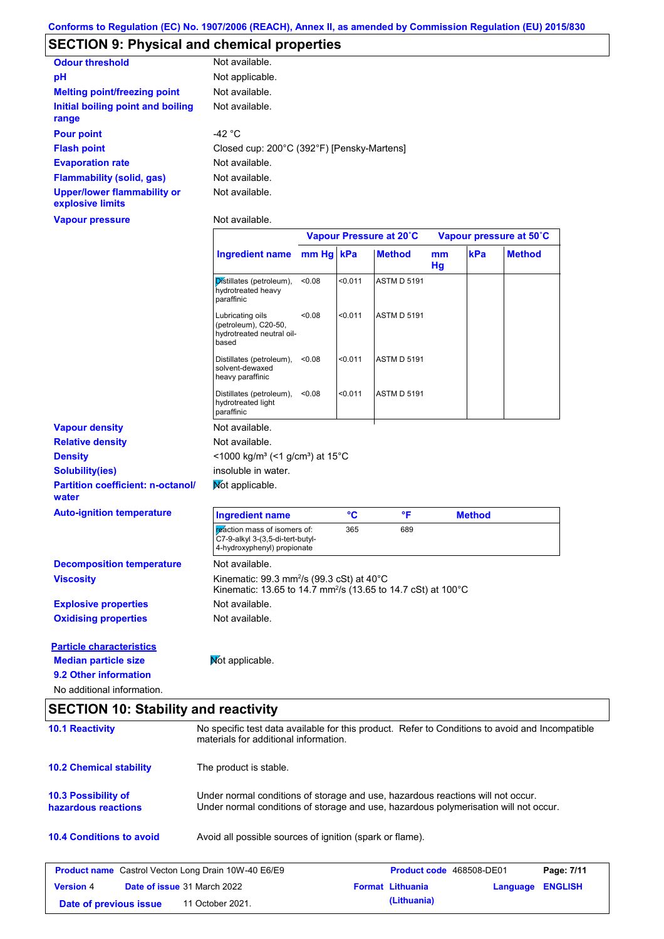## **SECTION 9: Physical and chemical properties**

| <b>Odour threshold</b>                                 | Not available.                             |
|--------------------------------------------------------|--------------------------------------------|
| рH                                                     | Not applicable.                            |
| <b>Melting point/freezing point</b>                    | Not available.                             |
| Initial boiling point and boiling<br>range             | Not available.                             |
| <b>Pour point</b>                                      | -42 °C                                     |
| <b>Flash point</b>                                     | Closed cup: 200°C (392°F) [Pensky-Martens] |
| <b>Evaporation rate</b>                                | Not available.                             |
| <b>Flammability (solid, gas)</b>                       | Not available.                             |
| <b>Upper/lower flammability or</b><br>explosive limits | Not available.                             |

**Vapour pressure**

Not available.

|                                                                                         |                                                                                                                                              |           |         | Vapour Pressure at 20°C |          |               | Vapour pressure at 50°C |
|-----------------------------------------------------------------------------------------|----------------------------------------------------------------------------------------------------------------------------------------------|-----------|---------|-------------------------|----------|---------------|-------------------------|
|                                                                                         | <b>Ingredient name</b>                                                                                                                       | mm Hg kPa |         | <b>Method</b>           | mm<br>Hg | kPa           | <b>Method</b>           |
|                                                                                         | Distillates (petroleum),<br>hydrotreated heavy<br>paraffinic                                                                                 | < 0.08    | < 0.011 | <b>ASTM D 5191</b>      |          |               |                         |
|                                                                                         | Lubricating oils<br>(petroleum), C20-50,<br>hydrotreated neutral oil-<br>based                                                               | < 0.08    | < 0.011 | <b>ASTM D 5191</b>      |          |               |                         |
|                                                                                         | Distillates (petroleum), <0.08<br>solvent-dewaxed<br>heavy paraffinic                                                                        |           | < 0.011 | <b>ASTM D 5191</b>      |          |               |                         |
|                                                                                         | Distillates (petroleum),<br>hydrotreated light<br>paraffinic                                                                                 | < 0.08    | < 0.011 | <b>ASTM D 5191</b>      |          |               |                         |
| <b>Vapour density</b>                                                                   | Not available.                                                                                                                               |           |         |                         |          |               |                         |
| <b>Relative density</b>                                                                 | Not available.                                                                                                                               |           |         |                         |          |               |                         |
| <b>Density</b>                                                                          | <1000 kg/m <sup>3</sup> (<1 g/cm <sup>3</sup> ) at 15°C                                                                                      |           |         |                         |          |               |                         |
| <b>Solubility(ies)</b>                                                                  | insoluble in water.                                                                                                                          |           |         |                         |          |               |                         |
| <b>Partition coefficient: n-octanol/</b><br>water                                       | Mot applicable.                                                                                                                              |           |         |                         |          |               |                         |
| <b>Auto-ignition temperature</b>                                                        | <b>Ingredient name</b>                                                                                                                       |           | °C      | °F                      |          | <b>Method</b> |                         |
|                                                                                         | reaction mass of isomers of:<br>C7-9-alkyl 3-(3,5-di-tert-butyl-<br>4-hydroxyphenyl) propionate                                              |           | 365     | 689                     |          |               |                         |
| <b>Decomposition temperature</b>                                                        | Not available.                                                                                                                               |           |         |                         |          |               |                         |
| <b>Viscosity</b>                                                                        | Kinematic: 99.3 mm <sup>2</sup> /s (99.3 cSt) at 40 $^{\circ}$ C<br>Kinematic: 13.65 to 14.7 mm <sup>2</sup> /s (13.65 to 14.7 cSt) at 100°C |           |         |                         |          |               |                         |
| <b>Explosive properties</b>                                                             | Not available.                                                                                                                               |           |         |                         |          |               |                         |
| <b>Oxidising properties</b>                                                             | Not available.                                                                                                                               |           |         |                         |          |               |                         |
| <b>Particle characteristics</b><br><b>Median particle size</b><br>9.2 Other information | Not applicable.                                                                                                                              |           |         |                         |          |               |                         |
| No additional information.                                                              |                                                                                                                                              |           |         |                         |          |               |                         |
| <b>SECTION 10: Stability and reactivity</b>                                             |                                                                                                                                              |           |         |                         |          |               |                         |
| <b>10.1 Reactivity</b>                                                                  | No specific test data available for this product. Refer to Conditions to avoid and Incompatible                                              |           |         |                         |          |               |                         |
|                                                                                         | materials for additional information.                                                                                                        |           |         |                         |          |               |                         |
| <b>10.2 Chemical stability</b>                                                          | The product is stable.                                                                                                                       |           |         |                         |          |               |                         |
| 10.3 Possibility of                                                                     | Under normal conditions of storage and use, hazardous reactions will not occur.                                                              |           |         |                         |          |               |                         |

**hazardous reactions** Under normal conditions of storage and use, hazardous polymerisation will not occur.

**10.4 Conditions to avoid** Avoid all possible sources of ignition (spark or flame).

|                        | <b>Product name</b> Castrol Vecton Long Drain 10W-40 E6/E9 | <b>Product code</b> 468508-DE01 |                  | Page: 7/11 |
|------------------------|------------------------------------------------------------|---------------------------------|------------------|------------|
| <b>Version 4</b>       | <b>Date of issue 31 March 2022</b>                         | <b>Format Lithuania</b>         | Language ENGLISH |            |
| Date of previous issue | 11 October 2021.                                           | (Lithuania)                     |                  |            |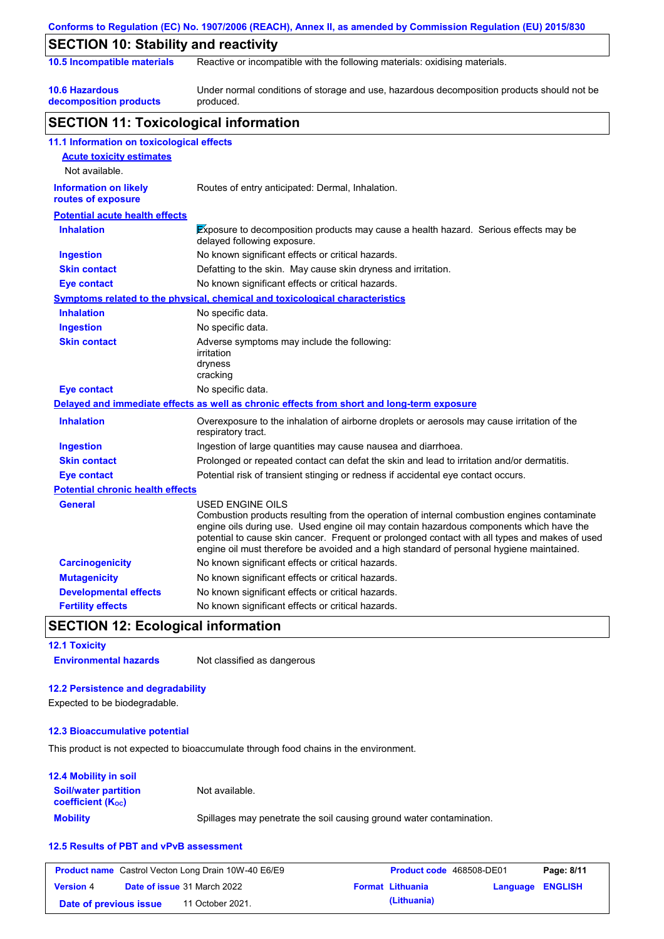|                                                    | Conforms to Regulation (EC) No. 1907/2006 (REACH), Annex II, as amended by Commission Regulation (EU) 2015/830                                                                                                                                                                                                                                                                                                  |
|----------------------------------------------------|-----------------------------------------------------------------------------------------------------------------------------------------------------------------------------------------------------------------------------------------------------------------------------------------------------------------------------------------------------------------------------------------------------------------|
| <b>SECTION 10: Stability and reactivity</b>        |                                                                                                                                                                                                                                                                                                                                                                                                                 |
| 10.5 Incompatible materials                        | Reactive or incompatible with the following materials: oxidising materials.                                                                                                                                                                                                                                                                                                                                     |
| <b>10.6 Hazardous</b><br>decomposition products    | Under normal conditions of storage and use, hazardous decomposition products should not be<br>produced.                                                                                                                                                                                                                                                                                                         |
| <b>SECTION 11: Toxicological information</b>       |                                                                                                                                                                                                                                                                                                                                                                                                                 |
| 11.1 Information on toxicological effects          |                                                                                                                                                                                                                                                                                                                                                                                                                 |
| <b>Acute toxicity estimates</b><br>Not available.  |                                                                                                                                                                                                                                                                                                                                                                                                                 |
| <b>Information on likely</b><br>routes of exposure | Routes of entry anticipated: Dermal, Inhalation.                                                                                                                                                                                                                                                                                                                                                                |
| <b>Potential acute health effects</b>              |                                                                                                                                                                                                                                                                                                                                                                                                                 |
| <b>Inhalation</b>                                  | Exposure to decomposition products may cause a health hazard. Serious effects may be<br>delayed following exposure.                                                                                                                                                                                                                                                                                             |
| <b>Ingestion</b>                                   | No known significant effects or critical hazards.                                                                                                                                                                                                                                                                                                                                                               |
| <b>Skin contact</b>                                | Defatting to the skin. May cause skin dryness and irritation.                                                                                                                                                                                                                                                                                                                                                   |
| <b>Eye contact</b>                                 | No known significant effects or critical hazards.                                                                                                                                                                                                                                                                                                                                                               |
|                                                    | <b>Symptoms related to the physical, chemical and toxicological characteristics</b>                                                                                                                                                                                                                                                                                                                             |
| <b>Inhalation</b>                                  | No specific data.                                                                                                                                                                                                                                                                                                                                                                                               |
| <b>Ingestion</b>                                   | No specific data.                                                                                                                                                                                                                                                                                                                                                                                               |
| <b>Skin contact</b>                                | Adverse symptoms may include the following:<br>irritation<br>dryness<br>cracking                                                                                                                                                                                                                                                                                                                                |
| <b>Eye contact</b>                                 | No specific data.                                                                                                                                                                                                                                                                                                                                                                                               |
|                                                    | Delayed and immediate effects as well as chronic effects from short and long-term exposure                                                                                                                                                                                                                                                                                                                      |
| <b>Inhalation</b>                                  | Overexposure to the inhalation of airborne droplets or aerosols may cause irritation of the<br>respiratory tract.                                                                                                                                                                                                                                                                                               |
| <b>Ingestion</b>                                   | Ingestion of large quantities may cause nausea and diarrhoea.                                                                                                                                                                                                                                                                                                                                                   |
| <b>Skin contact</b>                                | Prolonged or repeated contact can defat the skin and lead to irritation and/or dermatitis.                                                                                                                                                                                                                                                                                                                      |
| <b>Eye contact</b>                                 | Potential risk of transient stinging or redness if accidental eye contact occurs.                                                                                                                                                                                                                                                                                                                               |
| <b>Potential chronic health effects</b>            |                                                                                                                                                                                                                                                                                                                                                                                                                 |
| General                                            | <b>USED ENGINE OILS</b><br>Combustion products resulting from the operation of internal combustion engines contaminate<br>engine oils during use. Used engine oil may contain hazardous components which have the<br>potential to cause skin cancer. Frequent or prolonged contact with all types and makes of used<br>engine oil must therefore be avoided and a high standard of personal hygiene maintained. |
| <b>Carcinogenicity</b>                             | No known significant effects or critical hazards.                                                                                                                                                                                                                                                                                                                                                               |
| <b>Mutagenicity</b>                                | No known significant effects or critical hazards.                                                                                                                                                                                                                                                                                                                                                               |
| <b>Developmental effects</b>                       | No known significant effects or critical hazards.                                                                                                                                                                                                                                                                                                                                                               |
| <b>Fertility effects</b>                           | No known significant effects or critical hazards.                                                                                                                                                                                                                                                                                                                                                               |

### **SECTION 12: Ecological information**

**12.1 Toxicity Environmental hazards** Not classified as dangerous

### **12.2 Persistence and degradability**

Expected to be biodegradable.

### **12.3 Bioaccumulative potential**

This product is not expected to bioaccumulate through food chains in the environment.

### **12.4 Mobility in soil**

| <b>Soil/water partition</b><br><b>coefficient (Koc)</b> | Not available.                                                       |
|---------------------------------------------------------|----------------------------------------------------------------------|
| <b>Mobility</b>                                         | Spillages may penetrate the soil causing ground water contamination. |

### **12.5 Results of PBT and vPvB assessment**

|                        | <b>Product name</b> Castrol Vecton Long Drain 10W-40 E6/E9 | Product code 468508-DE01 |                  | Page: 8/11 |
|------------------------|------------------------------------------------------------|--------------------------|------------------|------------|
| <b>Version 4</b>       | <b>Date of issue 31 March 2022</b>                         | <b>Format Lithuania</b>  | Language ENGLISH |            |
| Date of previous issue | 11 October 2021.                                           | (Lithuania)              |                  |            |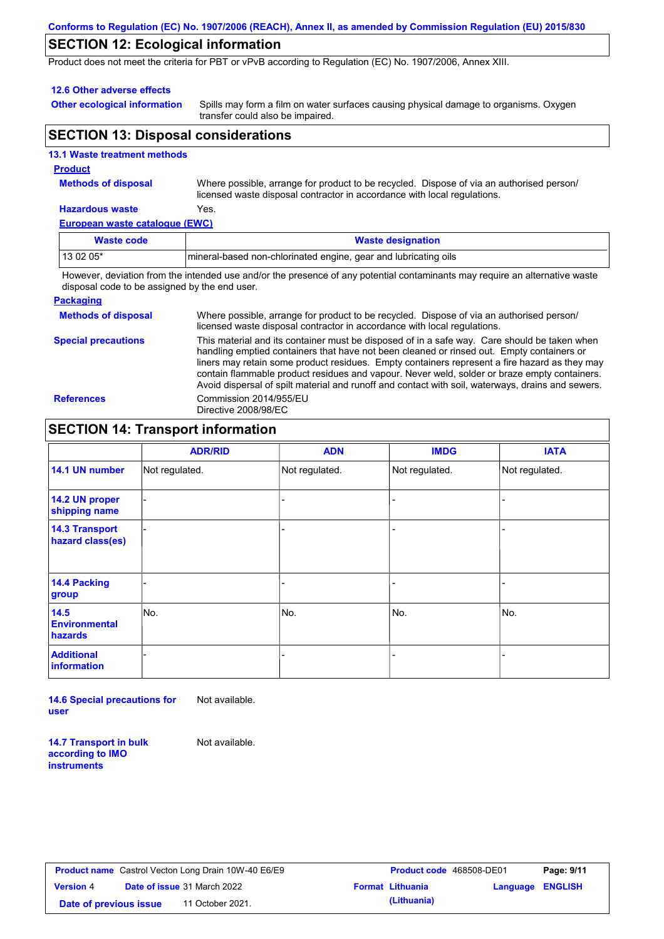#### **Conforms to Regulation (EC) No. 1907/2006 (REACH), Annex II, as amended by Commission Regulation (EU) 2015/830**

## **SECTION 12: Ecological information**

Product does not meet the criteria for PBT or vPvB according to Regulation (EC) No. 1907/2006, Annex XIII.

#### **12.6 Other adverse effects**

**Other ecological information**

Spills may form a film on water surfaces causing physical damage to organisms. Oxygen transfer could also be impaired.

### **SECTION 13: Disposal considerations**

|  | <b>13.1 Waste treatment methods</b> |  |
|--|-------------------------------------|--|
|  |                                     |  |

### **Product**

**Methods of disposal**

Where possible, arrange for product to be recycled. Dispose of via an authorised person/ licensed waste disposal contractor in accordance with local regulations.

#### **Hazardous waste** Yes.

**European waste catalogue (EWC)**

| Waste code | <b>Waste designation</b>                                        |
|------------|-----------------------------------------------------------------|
| $130205*$  | mineral-based non-chlorinated engine, gear and lubricating oils |
| .          | .                                                               |

However, deviation from the intended use and/or the presence of any potential contaminants may require an alternative waste disposal code to be assigned by the end user.

#### **Packaging**

| <b>Methods of disposal</b> | Where possible, arrange for product to be recycled. Dispose of via an authorised person/<br>licensed waste disposal contractor in accordance with local regulations.                                                                                                                                                                                                                                                                                                                            |
|----------------------------|-------------------------------------------------------------------------------------------------------------------------------------------------------------------------------------------------------------------------------------------------------------------------------------------------------------------------------------------------------------------------------------------------------------------------------------------------------------------------------------------------|
| <b>Special precautions</b> | This material and its container must be disposed of in a safe way. Care should be taken when<br>handling emptied containers that have not been cleaned or rinsed out. Empty containers or<br>liners may retain some product residues. Empty containers represent a fire hazard as they may<br>contain flammable product residues and vapour. Never weld, solder or braze empty containers.<br>Avoid dispersal of spilt material and runoff and contact with soil, waterways, drains and sewers. |
| <b>References</b>          | Commission 2014/955/EU<br>Directive 2008/98/EC                                                                                                                                                                                                                                                                                                                                                                                                                                                  |

## **SECTION 14: Transport information**

|                                           | <b>ADR/RID</b> | <b>ADN</b>     | <b>IMDG</b>    | <b>IATA</b>    |
|-------------------------------------------|----------------|----------------|----------------|----------------|
| 14.1 UN number                            | Not regulated. | Not regulated. | Not regulated. | Not regulated. |
| 14.2 UN proper<br>shipping name           |                |                |                |                |
| <b>14.3 Transport</b><br>hazard class(es) |                |                | ٠              |                |
| 14.4 Packing<br>group                     |                |                |                |                |
| 14.5<br><b>Environmental</b><br>hazards   | No.            | No.            | No.            | No.            |
| <b>Additional</b><br>information          |                |                |                |                |

**14.6 Special precautions for user** Not available.

**14.7 Transport in bulk according to IMO instruments**

Not available.

|                        | <b>Product name</b> Castrol Vecton Long Drain 10W-40 E6/E9 | <b>Product code 4</b>   |  |
|------------------------|------------------------------------------------------------|-------------------------|--|
| <b>Version 4</b>       | <b>Date of issue</b> 31 March 2022                         | <b>Format Lithuania</b> |  |
| Date of previous issue | 11 October 2021.                                           | (Lithuania)             |  |

| Castrol Vecton Long Drain 10W-40 E6/E9 |                  |                         | <b>Product code</b> 468508-DE01 |  | Page: 9/11 |
|----------------------------------------|------------------|-------------------------|---------------------------------|--|------------|
| <b>Date of issue</b> 31 March 2022     |                  | <b>Format Lithuania</b> | <b>Language ENGLISH</b>         |  |            |
| pus issuel                             | 11 October 2021. |                         | (Lithuania)                     |  |            |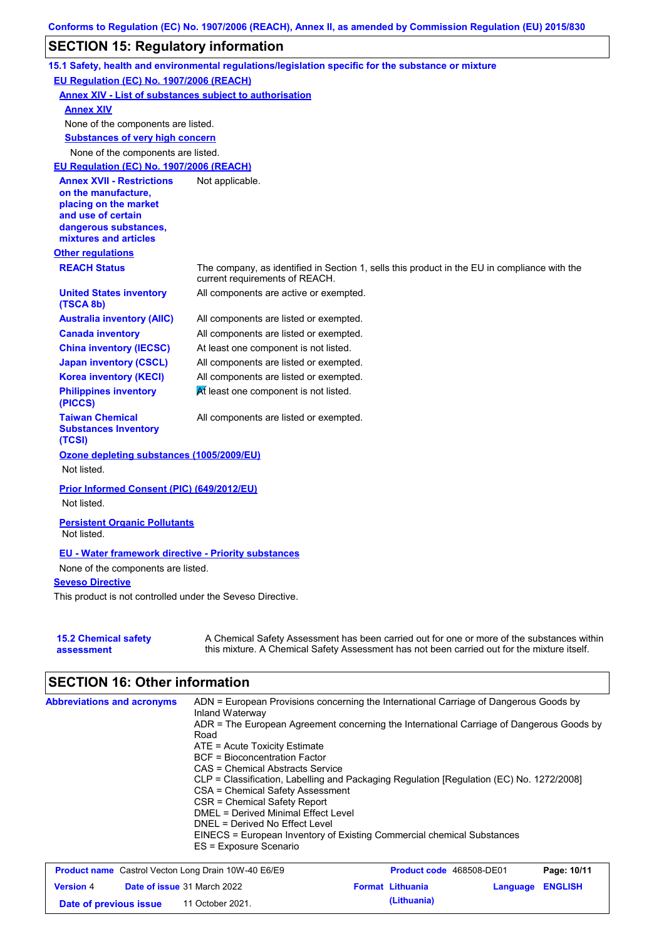## **SECTION 15: Regulatory information**

|                                                                                                                                                          | 15.1 Safety, health and environmental regulations/legislation specific for the substance or mixture                                                                                       |
|----------------------------------------------------------------------------------------------------------------------------------------------------------|-------------------------------------------------------------------------------------------------------------------------------------------------------------------------------------------|
| EU Regulation (EC) No. 1907/2006 (REACH)                                                                                                                 |                                                                                                                                                                                           |
| <b>Annex XIV - List of substances subject to authorisation</b>                                                                                           |                                                                                                                                                                                           |
| <b>Annex XIV</b>                                                                                                                                         |                                                                                                                                                                                           |
| None of the components are listed.                                                                                                                       |                                                                                                                                                                                           |
| <b>Substances of very high concern</b>                                                                                                                   |                                                                                                                                                                                           |
| None of the components are listed.                                                                                                                       |                                                                                                                                                                                           |
| EU Regulation (EC) No. 1907/2006 (REACH)                                                                                                                 |                                                                                                                                                                                           |
| <b>Annex XVII - Restrictions</b><br>on the manufacture,<br>placing on the market<br>and use of certain<br>dangerous substances,<br>mixtures and articles | Not applicable.                                                                                                                                                                           |
| <b>Other regulations</b>                                                                                                                                 |                                                                                                                                                                                           |
| <b>REACH Status</b>                                                                                                                                      | The company, as identified in Section 1, sells this product in the EU in compliance with the<br>current requirements of REACH.                                                            |
| <b>United States inventory</b><br>(TSCA 8b)                                                                                                              | All components are active or exempted.                                                                                                                                                    |
| <b>Australia inventory (AIIC)</b>                                                                                                                        | All components are listed or exempted.                                                                                                                                                    |
| <b>Canada inventory</b>                                                                                                                                  | All components are listed or exempted.                                                                                                                                                    |
| <b>China inventory (IECSC)</b>                                                                                                                           | At least one component is not listed.                                                                                                                                                     |
| <b>Japan inventory (CSCL)</b>                                                                                                                            | All components are listed or exempted.                                                                                                                                                    |
| <b>Korea inventory (KECI)</b>                                                                                                                            | All components are listed or exempted.                                                                                                                                                    |
| <b>Philippines inventory</b><br>(PICCS)                                                                                                                  | At least one component is not listed.                                                                                                                                                     |
| <b>Taiwan Chemical</b><br><b>Substances Inventory</b><br>(TCSI)                                                                                          | All components are listed or exempted.                                                                                                                                                    |
| Ozone depleting substances (1005/2009/EU)<br>Not listed.                                                                                                 |                                                                                                                                                                                           |
| Prior Informed Consent (PIC) (649/2012/EU)<br>Not listed.                                                                                                |                                                                                                                                                                                           |
|                                                                                                                                                          |                                                                                                                                                                                           |
| <b>Persistent Organic Pollutants</b><br>Not listed.                                                                                                      |                                                                                                                                                                                           |
| <b>EU - Water framework directive - Priority substances</b>                                                                                              |                                                                                                                                                                                           |
| None of the components are listed.                                                                                                                       |                                                                                                                                                                                           |
| <b>Seveso Directive</b>                                                                                                                                  |                                                                                                                                                                                           |
| This product is not controlled under the Seveso Directive.                                                                                               |                                                                                                                                                                                           |
|                                                                                                                                                          |                                                                                                                                                                                           |
| <b>15.2 Chemical safety</b><br>assessment                                                                                                                | A Chemical Safety Assessment has been carried out for one or more of the substances within<br>this mixture. A Chemical Safety Assessment has not been carried out for the mixture itself. |

# **SECTION 16: Other information**

| <b>Abbreviations and acronyms</b> | ADN = European Provisions concerning the International Carriage of Dangerous Goods by<br>Inland Waterway |
|-----------------------------------|----------------------------------------------------------------------------------------------------------|
|                                   | ADR = The European Agreement concerning the International Carriage of Dangerous Goods by                 |
|                                   | Road                                                                                                     |
|                                   | $ATE =$ Acute Toxicity Estimate                                                                          |
|                                   | <b>BCF</b> = Bioconcentration Factor                                                                     |
|                                   | CAS = Chemical Abstracts Service                                                                         |
|                                   | CLP = Classification, Labelling and Packaging Regulation [Regulation (EC) No. 1272/2008]                 |
|                                   | CSA = Chemical Safety Assessment                                                                         |
|                                   | CSR = Chemical Safety Report                                                                             |
|                                   | DMEL = Derived Minimal Effect Level                                                                      |
|                                   | DNEL = Derived No Effect Level                                                                           |
|                                   | EINECS = European Inventory of Existing Commercial chemical Substances                                   |
|                                   | ES = Exposure Scenario                                                                                   |

| <b>Product name</b> Castrol Vecton Long Drain 10W-40 E6/E9 |  |                                    | <b>Product code</b> 468508-DE01 |                         | Page: 10/11             |  |
|------------------------------------------------------------|--|------------------------------------|---------------------------------|-------------------------|-------------------------|--|
| <b>Version 4</b>                                           |  | <b>Date of issue 31 March 2022</b> |                                 | <b>Format Lithuania</b> | <b>Language ENGLISH</b> |  |
| Date of previous issue                                     |  | 11 October 2021.                   |                                 | (Lithuania)             |                         |  |